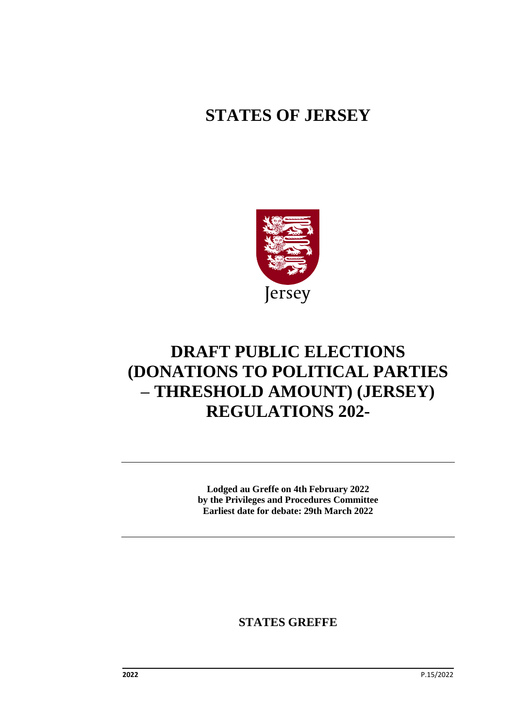# **STATES OF JERSEY**



# **DRAFT PUBLIC ELECTIONS (DONATIONS TO POLITICAL PARTIES – THRESHOLD AMOUNT) (JERSEY) REGULATIONS 202-**

**Lodged au Greffe on 4th February 2022 by the Privileges and Procedures Committee Earliest date for debate: 29th March 2022**

**STATES GREFFE**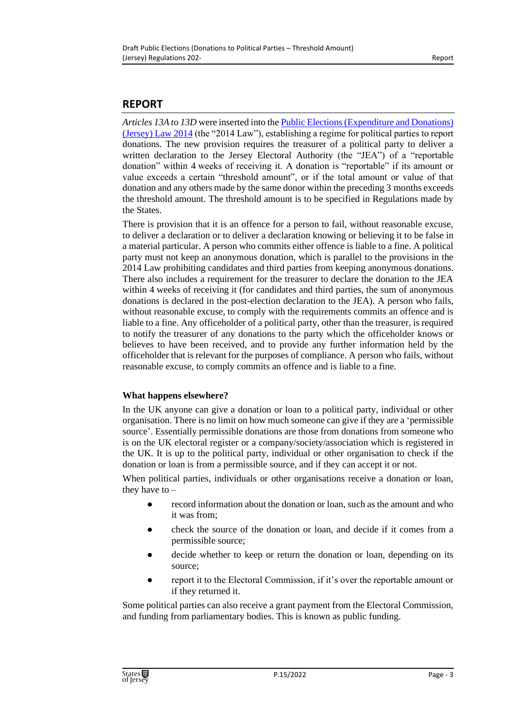# **REPORT**

*Articles 13A to 13D* were inserted into the [Public Elections \(Expenditure and Donations\)](https://www.jerseylaw.je/laws/current/Pages/16.580.aspx)  [\(Jersey\) Law 2014](https://www.jerseylaw.je/laws/current/Pages/16.580.aspx) (the "2014 Law"), establishing a regime for political parties to report donations. The new provision requires the treasurer of a political party to deliver a written declaration to the Jersey Electoral Authority (the "JEA") of a "reportable donation" within 4 weeks of receiving it. A donation is "reportable" if its amount or value exceeds a certain "threshold amount", or if the total amount or value of that donation and any others made by the same donor within the preceding 3 months exceeds the threshold amount. The threshold amount is to be specified in Regulations made by the States.

There is provision that it is an offence for a person to fail, without reasonable excuse, to deliver a declaration or to deliver a declaration knowing or believing it to be false in a material particular. A person who commits either offence is liable to a fine. A political party must not keep an anonymous donation, which is parallel to the provisions in the 2014 Law prohibiting candidates and third parties from keeping anonymous donations. There also includes a requirement for the treasurer to declare the donation to the JEA within 4 weeks of receiving it (for candidates and third parties, the sum of anonymous donations is declared in the post-election declaration to the JEA). A person who fails, without reasonable excuse, to comply with the requirements commits an offence and is liable to a fine. Any officeholder of a political party, other than the treasurer, is required to notify the treasurer of any donations to the party which the officeholder knows or believes to have been received, and to provide any further information held by the officeholder that is relevant for the purposes of compliance. A person who fails, without reasonable excuse, to comply commits an offence and is liable to a fine.

#### **What happens elsewhere?**

In the UK anyone can give a donation or loan to a political party, individual or other organisation. There is no limit on how much someone can give if they are a 'permissible source'. Essentially permissible donations are those from donations from someone who is on the UK electoral register or a company/society/association which is registered in the UK. It is up to the political party, individual or other organisation to check if the donation or loan is from a permissible source, and if they can accept it or not.

When political parties, individuals or other organisations receive a donation or loan, they have to –

- record information about the donation or loan, such as the amount and who it was from;
- check the source of the donation or loan, and decide if it comes from a permissible source;
- decide whether to keep or return the donation or loan, depending on its source;
- report it to the Electoral Commission, if it's over the reportable amount or if they returned it.

Some political parties can also receive a grant payment from the Electoral Commission, and funding from parliamentary bodies. This is known as public funding.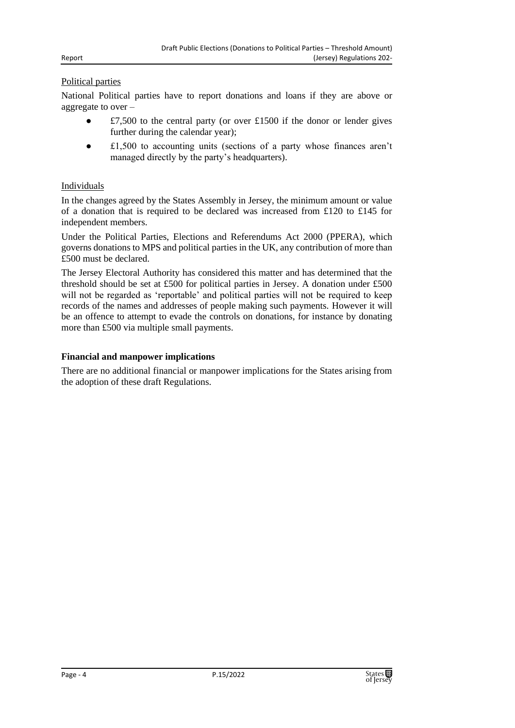#### Political parties

National Political parties have to report donations and loans if they are above or aggregate to over –

- £7,500 to the central party (or over £1500 if the donor or lender gives further during the calendar year);
- £1,500 to accounting units (sections of a party whose finances aren't managed directly by the party's headquarters).

#### Individuals

In the changes agreed by the States Assembly in Jersey, the minimum amount or value of a donation that is required to be declared was increased from £120 to £145 for independent members.

Under the Political Parties, Elections and Referendums Act 2000 (PPERA), which governs donations to MPS and political parties in the UK, any contribution of more than £500 must be declared.

The Jersey Electoral Authority has considered this matter and has determined that the threshold should be set at £500 for political parties in Jersey. A donation under £500 will not be regarded as 'reportable' and political parties will not be required to keep records of the names and addresses of people making such payments. However it will be an offence to attempt to evade the controls on donations, for instance by donating more than £500 via multiple small payments.

#### **Financial and manpower implications**

There are no additional financial or manpower implications for the States arising from the adoption of these draft Regulations.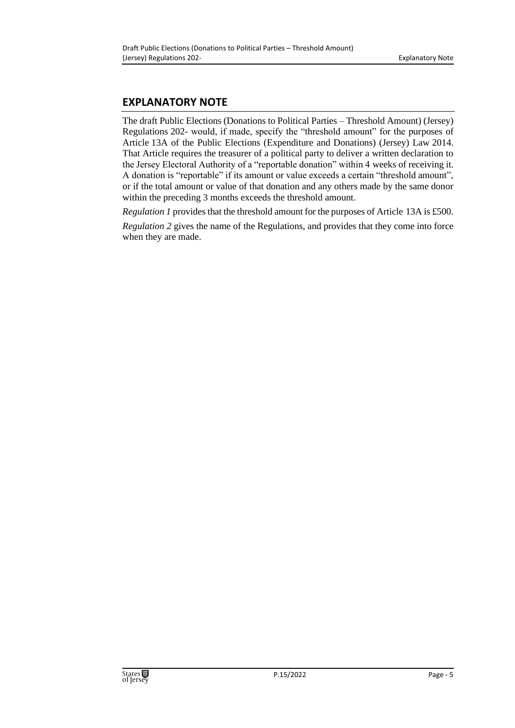## **EXPLANATORY NOTE**

The draft Public Elections (Donations to Political Parties – Threshold Amount) (Jersey) Regulations 202- would, if made, specify the "threshold amount" for the purposes of Article 13A of the Public Elections (Expenditure and Donations) (Jersey) Law 2014. That Article requires the treasurer of a political party to deliver a written declaration to the Jersey Electoral Authority of a "reportable donation" within 4 weeks of receiving it. A donation is "reportable" if its amount or value exceeds a certain "threshold amount", or if the total amount or value of that donation and any others made by the same donor within the preceding 3 months exceeds the threshold amount.

*Regulation 1* provides that the threshold amount for the purposes of Article 13A is £500.

*Regulation 2* gives the name of the Regulations, and provides that they come into force when they are made.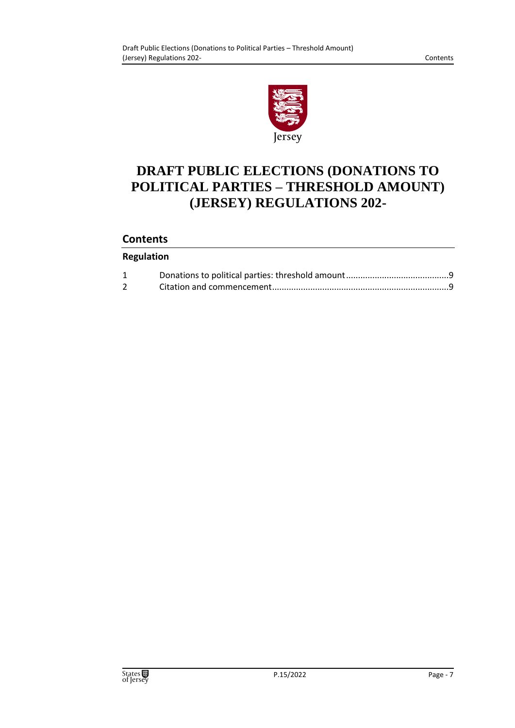

# **DRAFT PUBLIC ELECTIONS (DONATIONS TO POLITICAL PARTIES – THRESHOLD AMOUNT) (JERSEY) REGULATIONS 202-**

# **Contents**

### **Regulation**